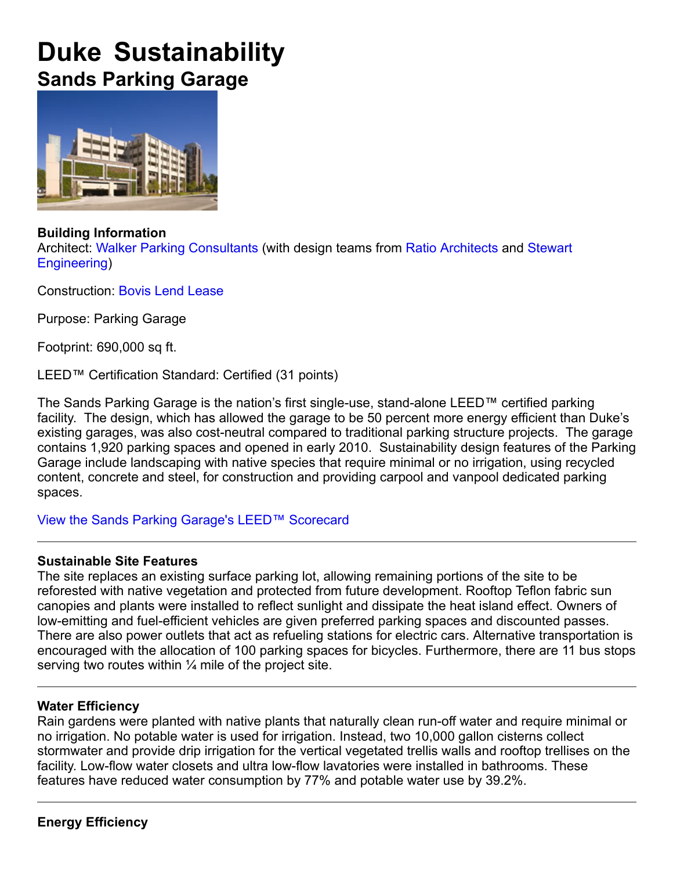# **Duke Sustainability Sands Parking Garage**



# **Building Information**

Architect: Walker Parking Consultants (with design teams from Ratio Architects and Stewart Engineering)

Construction: Bovis Lend Lease

Purpose: Parking Garage

Footprint: 690,000 sq ft.

LEED™ Certification Standard: Certified (31 points)

The Sands Parking Garage is the nation's first single-use, stand-alone LEED™ certified parking facility. The design, which has allowed the garage to be 50 percent more energy efficient than Duke's existing garages, was also cost-neutral compared to traditional parking structure projects. The garage contains 1,920 parking spaces and opened in early 2010. Sustainability design features of the Parking Garage include landscaping with native species that require minimal or no irrigation, using recycled content, concrete and steel, for construction and providing carpool and vanpool dedicated parking spaces.

View the Sands Parking Garage's LEED™ Scorecard

# **Sustainable Site Features**

The site replaces an existing surface parking lot, allowing remaining portions of the site to be reforested with native vegetation and protected from future development. Rooftop Teflon fabric sun canopies and plants were installed to reflect sunlight and dissipate the heat island effect. Owners of low-emitting and fuel-efficient vehicles are given preferred parking spaces and discounted passes. There are also power outlets that act as refueling stations for electric cars. Alternative transportation is encouraged with the allocation of 100 parking spaces for bicycles. Furthermore, there are 11 bus stops serving two routes within  $\frac{1}{4}$  mile of the project site.

# **Water Efficiency**

Rain gardens were planted with native plants that naturally clean run-off water and require minimal or no irrigation. No potable water is used for irrigation. Instead, two 10,000 gallon cisterns collect stormwater and provide drip irrigation for the vertical vegetated trellis walls and rooftop trellises on the facility. Low-flow water closets and ultra low-flow lavatories were installed in bathrooms. These features have reduced water consumption by 77% and potable water use by 39.2%.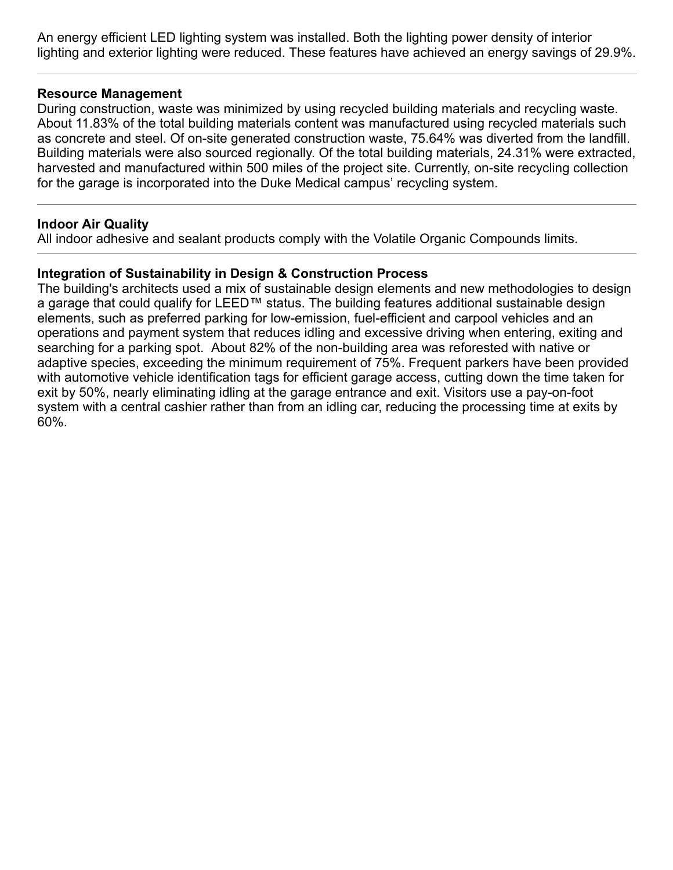An energy efficient LED lighting system was installed. Both the lighting power density of interior lighting and exterior lighting were reduced. These features have achieved an energy savings of 29.9%.

# **Resource Management**

During construction, waste was minimized by using recycled building materials and recycling waste. About 11.83% of the total building materials content was manufactured using recycled materials such as concrete and steel. Of on-site generated construction waste, 75.64% was diverted from the landfill. Building materials were also sourced regionally. Of the total building materials, 24.31% were extracted, harvested and manufactured within 500 miles of the project site. Currently, on-site recycling collection for the garage is incorporated into the Duke Medical campus' recycling system.

# **Indoor Air Quality**

All indoor adhesive and sealant products comply with the Volatile Organic Compounds limits.

# **Integration of Sustainability in Design & Construction Process**

The building's architects used a mix of sustainable design elements and new methodologies to design a garage that could qualify for LEED™ status. The building features additional sustainable design elements, such as preferred parking for low-emission, fuel-efficient and carpool vehicles and an operations and payment system that reduces idling and excessive driving when entering, exiting and searching for a parking spot. About 82% of the non-building area was reforested with native or adaptive species, exceeding the minimum requirement of 75%. Frequent parkers have been provided with automotive vehicle identification tags for efficient garage access, cutting down the time taken for exit by 50%, nearly eliminating idling at the garage entrance and exit. Visitors use a pay-on-foot system with a central cashier rather than from an idling car, reducing the processing time at exits by 60%.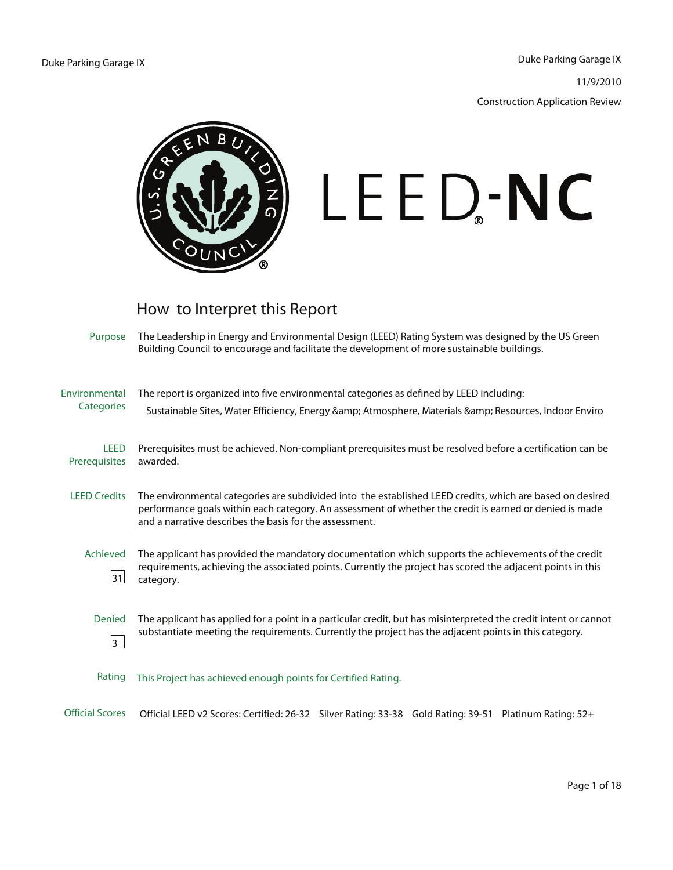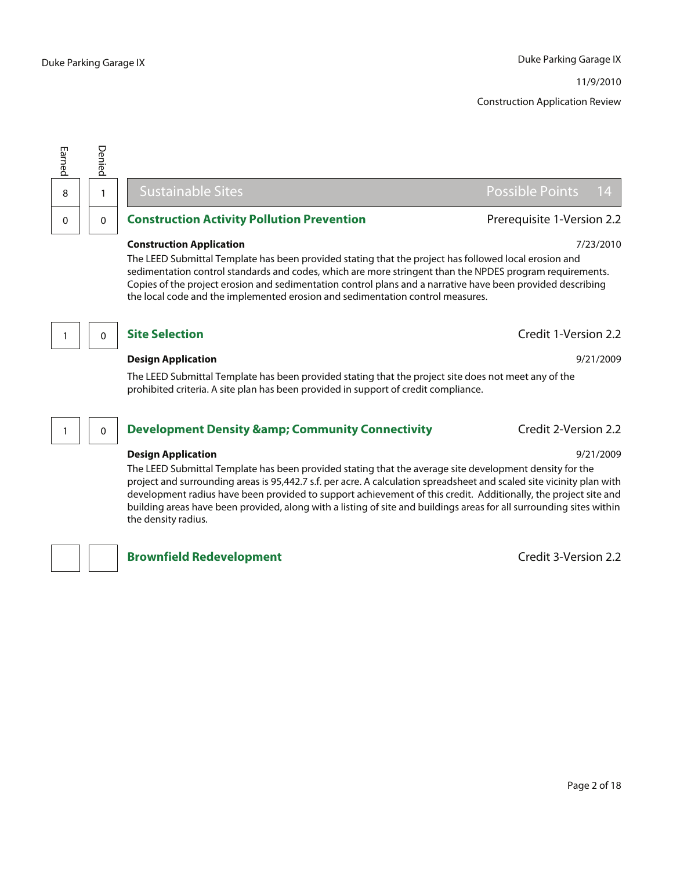Construction Application Review



# 8 1 1 Sustainable Sites **Possible Points** 14 Sustainable Sites **Possible Points** 14 Sustainable Sites 14 Sustainable Sites 14 Sustainable Sites 14 Sustainable Sites 14 Sustainable Sites 14 Sustainable Sites 14 Sustainable

# 0 | 0 | **Construction Activity Pollution Prevention Premission 2.2** Prerequisite 1-Version 2.2

### **Construction Application** 7/23/2010

The LEED Submittal Template has been provided stating that the project has followed local erosion and sedimentation control standards and codes, which are more stringent than the NPDES program requirements. Copies of the project erosion and sedimentation control plans and a narrative have been provided describing the local code and the implemented erosion and sedimentation control measures.

# 1 0 **Site Selection** Credit 1-Version 2.2

### **Design Application** 9/21/2009

The LEED Submittal Template has been provided stating that the project site does not meet any of the prohibited criteria. A site plan has been provided in support of credit compliance.

# 1 0 **Development Density & amp; Community Connectivity** Credit 2-Version 2.2

#### **Design Application** 9/21/2009

The LEED Submittal Template has been provided stating that the average site development density for the project and surrounding areas is 95,442.7 s.f. per acre. A calculation spreadsheet and scaled site vicinity plan with development radius have been provided to support achievement of this credit. Additionally, the project site and building areas have been provided, along with a listing of site and buildings areas for all surrounding sites within the density radius.



**Brownfield Redevelopment Credit 3-Version 2.2**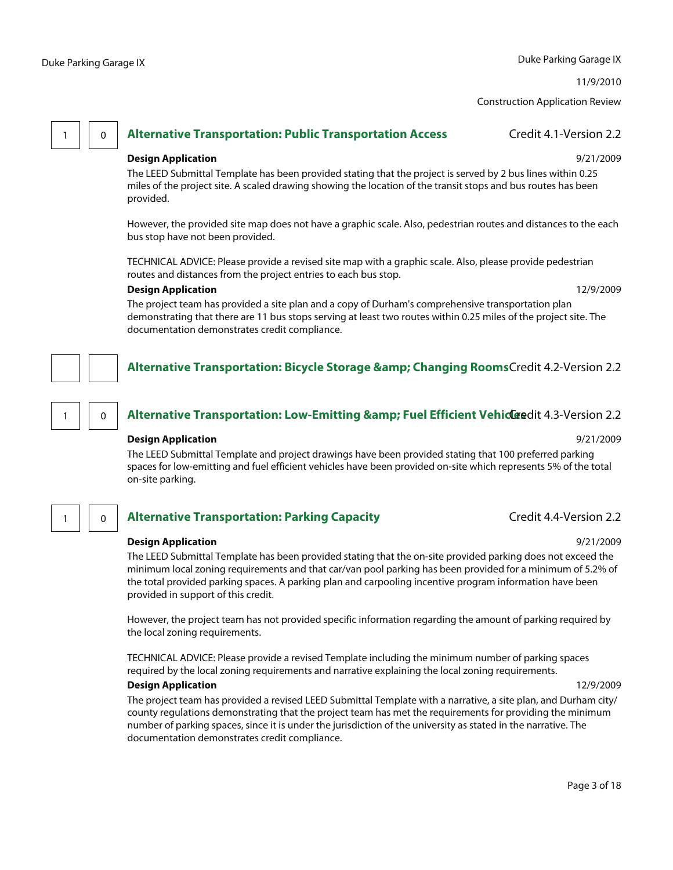11/9/2010

Construction Application Review

# 1 0 **Alternative Transportation: Public Transportation Access** Credit 4.1-Version 2.2

### **Design Application** 9/21/2009

The LEED Submittal Template has been provided stating that the project is served by 2 bus lines within 0.25 miles of the project site. A scaled drawing showing the location of the transit stops and bus routes has been provided.

However, the provided site map does not have a graphic scale. Also, pedestrian routes and distances to the each bus stop have not been provided.

TECHNICAL ADVICE: Please provide a revised site map with a graphic scale. Also, please provide pedestrian routes and distances from the project entries to each bus stop.

#### **Design Application** 12/9/2009

The project team has provided a site plan and a copy of Durham's comprehensive transportation plan demonstrating that there are 11 bus stops serving at least two routes within 0.25 miles of the project site. The documentation demonstrates credit compliance.

# **Alternative Transportation: Bicycle Storage & Changing Rooms**Credit 4.2-Version 2.2



### 1 0 **Alternative Transportation: Low-Emitting & Fuel Efficient Vehicles** Credit 4.3-Version 2.2

#### **Design Application** 9/21/2009

The LEED Submittal Template and project drawings have been provided stating that 100 preferred parking spaces for low-emitting and fuel efficient vehicles have been provided on-site which represents 5% of the total on-site parking.

# 0 **Alternative Transportation: Parking Capacity** Credit 4.4-Version 2.2

### **Design Application** 9/21/2009

The LEED Submittal Template has been provided stating that the on-site provided parking does not exceed the minimum local zoning requirements and that car/van pool parking has been provided for a minimum of 5.2% of the total provided parking spaces. A parking plan and carpooling incentive program information have been provided in support of this credit.

However, the project team has not provided specific information regarding the amount of parking required by the local zoning requirements.

TECHNICAL ADVICE: Please provide a revised Template including the minimum number of parking spaces required by the local zoning requirements and narrative explaining the local zoning requirements.

#### **Design Application** 12/9/2009

The project team has provided a revised LEED Submittal Template with a narrative, a site plan, and Durham city/ county regulations demonstrating that the project team has met the requirements for providing the minimum number of parking spaces, since it is under the jurisdiction of the university as stated in the narrative. The documentation demonstrates credit compliance.

# Page 3 of 18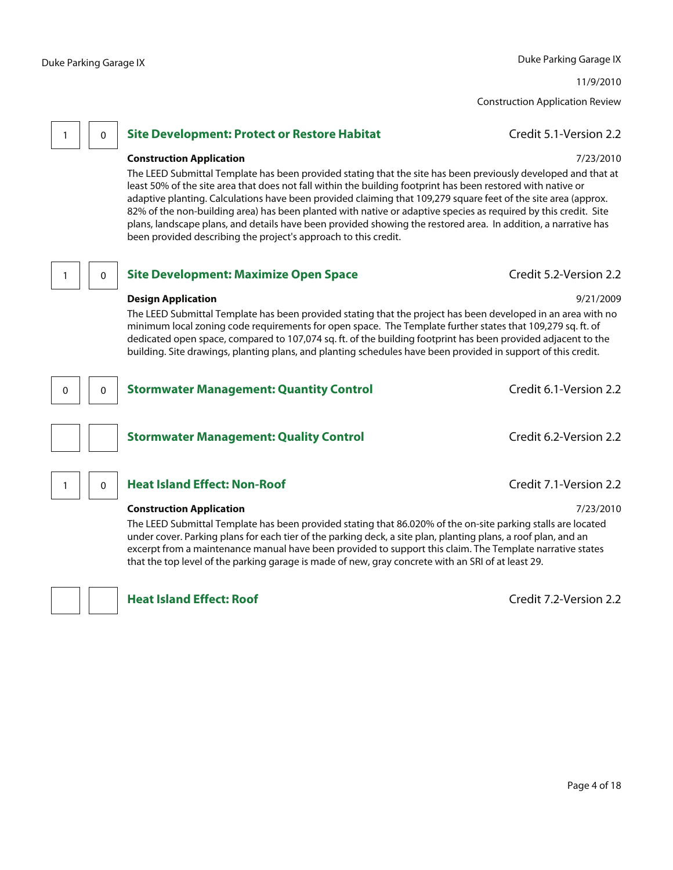11/9/2010

Construction Application Review

Duke Parking Garage IX



# 0 **Site Development: Protect or Restore Habitat** Credit 5.1-Version 2.2

# **Construction Application** 7/23/2010

The LEED Submittal Template has been provided stating that the site has been previously developed and that at least 50% of the site area that does not fall within the building footprint has been restored with native or adaptive planting. Calculations have been provided claiming that 109,279 square feet of the site area (approx. 82% of the non-building area) has been planted with native or adaptive species as required by this credit. Site plans, landscape plans, and details have been provided showing the restored area. In addition, a narrative has been provided describing the project's approach to this credit.

# 0 **Site Development: Maximize Open Space** Credit 5.2-Version 2.2

# **Design Application** 9/21/2009

The LEED Submittal Template has been provided stating that the project has been developed in an area with no minimum local zoning code requirements for open space. The Template further states that 109,279 sq. ft. of dedicated open space, compared to 107,074 sq. ft. of the building footprint has been provided adjacent to the building. Site drawings, planting plans, and planting schedules have been provided in support of this credit.



The LEED Submittal Template has been provided stating that 86.020% of the on-site parking stalls are located under cover. Parking plans for each tier of the parking deck, a site plan, planting plans, a roof plan, and an excerpt from a maintenance manual have been provided to support this claim. The Template narrative states that the top level of the parking garage is made of new, gray concrete with an SRI of at least 29.



**Heat Island Effect: Roof** Credit 7.2-Version 2.2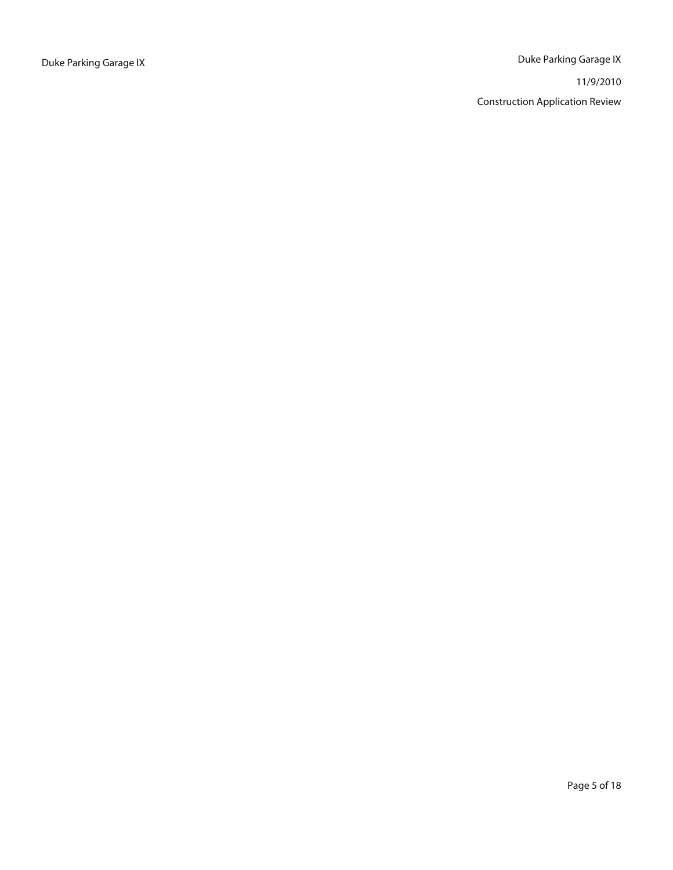11/9/2010 Duke Parking Garage IX

Construction Application Review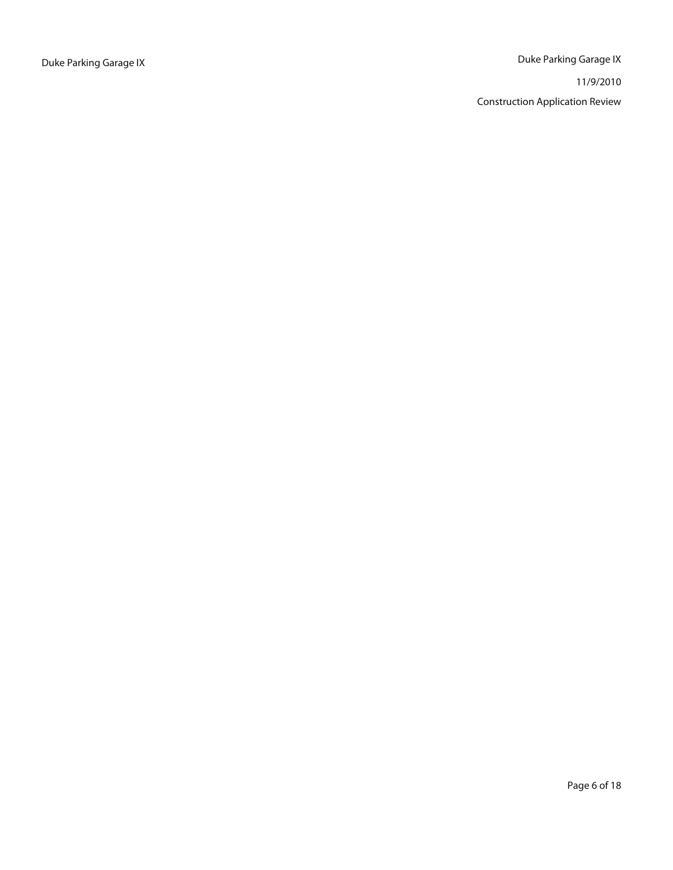11/9/2010 Duke Parking Garage IX

Construction Application Review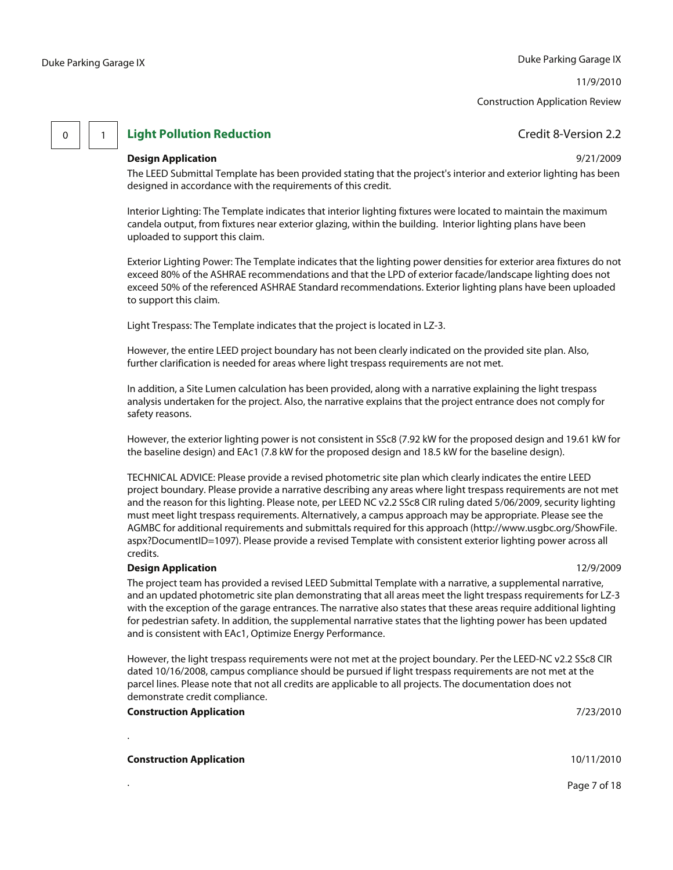11/9/2010

Construction Application Review



# 0 1 **Light Pollution Reduction** Credit 8-Version 2.2

### **Design Application** 9/21/2009

The LEED Submittal Template has been provided stating that the project's interior and exterior lighting has been designed in accordance with the requirements of this credit.

Interior Lighting: The Template indicates that interior lighting fixtures were located to maintain the maximum candela output, from fixtures near exterior glazing, within the building. Interior lighting plans have been uploaded to support this claim.

Exterior Lighting Power: The Template indicates that the lighting power densities for exterior area fixtures do not exceed 80% of the ASHRAE recommendations and that the LPD of exterior facade/landscape lighting does not exceed 50% of the referenced ASHRAE Standard recommendations. Exterior lighting plans have been uploaded to support this claim.

Light Trespass: The Template indicates that the project is located in LZ-3.

However, the entire LEED project boundary has not been clearly indicated on the provided site plan. Also, further clarification is needed for areas where light trespass requirements are not met.

In addition, a Site Lumen calculation has been provided, along with a narrative explaining the light trespass analysis undertaken for the project. Also, the narrative explains that the project entrance does not comply for safety reasons.

However, the exterior lighting power is not consistent in SSc8 (7.92 kW for the proposed design and 19.61 kW for the baseline design) and EAc1 (7.8 kW for the proposed design and 18.5 kW for the baseline design).

TECHNICAL ADVICE: Please provide a revised photometric site plan which clearly indicates the entire LEED project boundary. Please provide a narrative describing any areas where light trespass requirements are not met and the reason for this lighting. Please note, per LEED NC v2.2 SSc8 CIR ruling dated 5/06/2009, security lighting must meet light trespass requirements. Alternatively, a campus approach may be appropriate. Please see the AGMBC for additional requirements and submittals required for this approach (http://www.usgbc.org/ShowFile. aspx?DocumentID=1097). Please provide a revised Template with consistent exterior lighting power across all credits.

### **Design Application** 12/9/2009

The project team has provided a revised LEED Submittal Template with a narrative, a supplemental narrative, and an updated photometric site plan demonstrating that all areas meet the light trespass requirements for LZ-3 with the exception of the garage entrances. The narrative also states that these areas require additional lighting for pedestrian safety. In addition, the supplemental narrative states that the lighting power has been updated and is consistent with EAc1, Optimize Energy Performance.

However, the light trespass requirements were not met at the project boundary. Per the LEED-NC v2.2 SSc8 CIR dated 10/16/2008, campus compliance should be pursued if light trespass requirements are not met at the parcel lines. Please note that not all credits are applicable to all projects. The documentation does not demonstrate credit compliance.

**Construction Application** 7/23/2010

.

.

**Construction Application** 10/11/2010

Page 7 of 18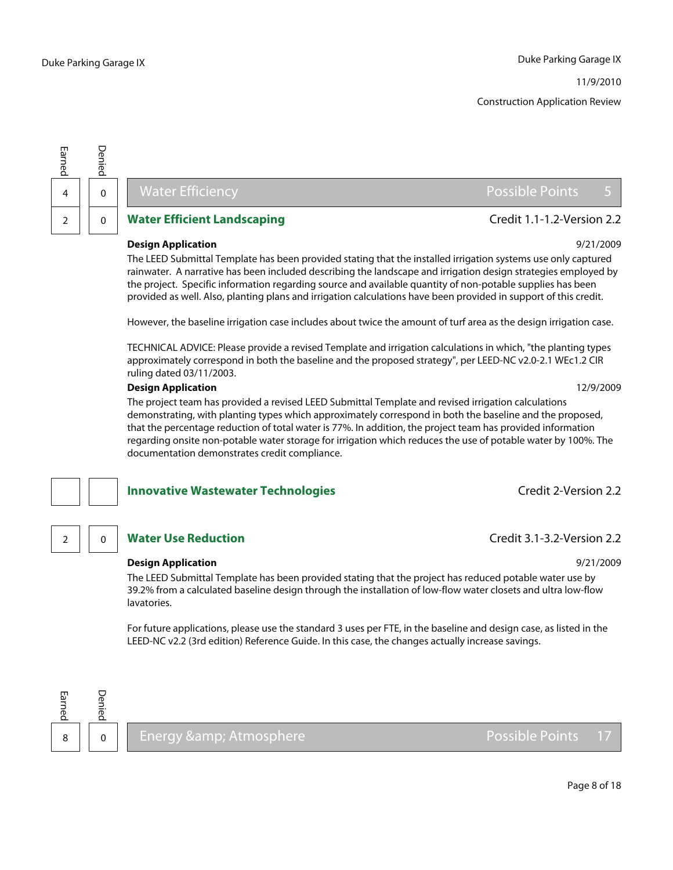Construction Application Review



# 4 0 Water Efficiency **Possible Points** 5 and 200 Possible Points

# 2 0 **Water Efficient Landscaping** Credit 1.1-1.2-Version 2.2

### **Design Application** 9/21/2009

The LEED Submittal Template has been provided stating that the installed irrigation systems use only captured rainwater. A narrative has been included describing the landscape and irrigation design strategies employed by the project. Specific information regarding source and available quantity of non-potable supplies has been provided as well. Also, planting plans and irrigation calculations have been provided in support of this credit.

However, the baseline irrigation case includes about twice the amount of turf area as the design irrigation case.

TECHNICAL ADVICE: Please provide a revised Template and irrigation calculations in which, "the planting types approximately correspond in both the baseline and the proposed strategy", per LEED-NC v2.0-2.1 WEc1.2 CIR ruling dated 03/11/2003.

### **Design Application** 12/9/2009

The project team has provided a revised LEED Submittal Template and revised irrigation calculations demonstrating, with planting types which approximately correspond in both the baseline and the proposed, that the percentage reduction of total water is 77%. In addition, the project team has provided information regarding onsite non-potable water storage for irrigation which reduces the use of potable water by 100%. The documentation demonstrates credit compliance.

# **Innovative Wastewater Technologies** Credit 2-Version 2.2

# 2 0 **Water Use Reduction** Credit 3.1-3.2-Version 2.2

### **Design Application** 9/21/2009

The LEED Submittal Template has been provided stating that the project has reduced potable water use by 39.2% from a calculated baseline design through the installation of low-flow water closets and ultra low-flow lavatories.

For future applications, please use the standard 3 uses per FTE, in the baseline and design case, as listed in the LEED-NC v2.2 (3rd edition) Reference Guide. In this case, the changes actually increase savings.



8 0 Energy & Atmosphere Possible Points 17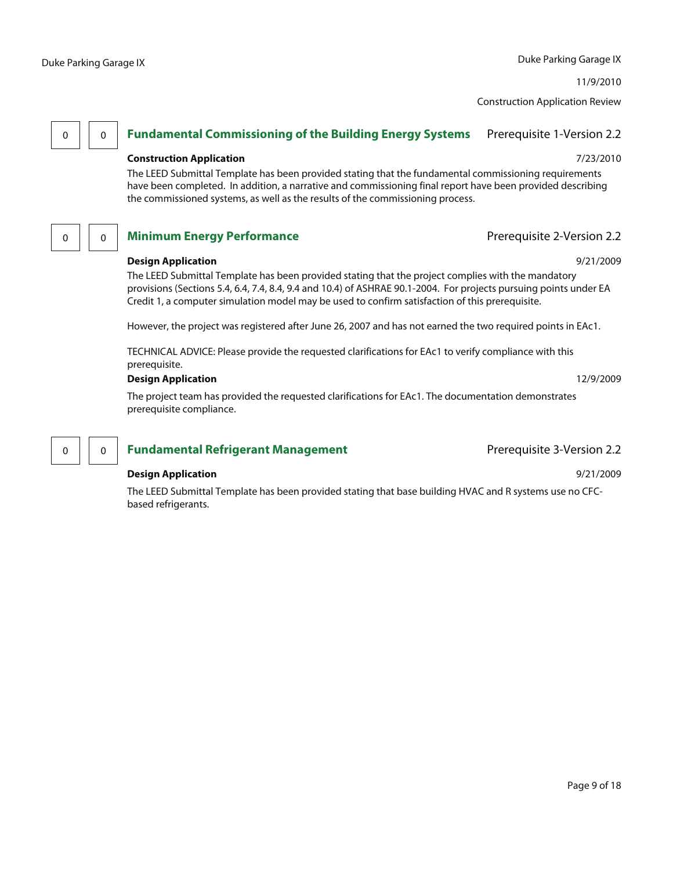11/9/2010

Construction Application Review

Duke Parking Garage IX

The LEED Submittal Template has been provided stating that the fundamental commissioning requirements have been completed. In addition, a narrative and commissioning final report have been provided describing the commissioned systems, as well as the results of the commissioning process.

0 0 **Fundamental Commissioning of the Building Energy Systems** Prerequisite 1-Version 2.2

# 0 0 **Minimum Energy Performance** Prerequisite 2-Version 2.2

### **Design Application** 9/21/2009

The LEED Submittal Template has been provided stating that the project complies with the mandatory provisions (Sections 5.4, 6.4, 7.4, 8.4, 9.4 and 10.4) of ASHRAE 90.1-2004. For projects pursuing points under EA Credit 1, a computer simulation model may be used to confirm satisfaction of this prerequisite.

However, the project was registered after June 26, 2007 and has not earned the two required points in EAc1.

TECHNICAL ADVICE: Please provide the requested clarifications for EAc1 to verify compliance with this prerequisite.

#### **Design Application** 12/9/2009

The project team has provided the requested clarifications for EAc1. The documentation demonstrates prerequisite compliance.

# 0 | | 0 | **Fundamental Refrigerant Management** Prerequisite 3-Version 2.2

### **Design Application** 9/21/2009

The LEED Submittal Template has been provided stating that base building HVAC and R systems use no CFCbased refrigerants.

# **Construction Application** 7/23/2010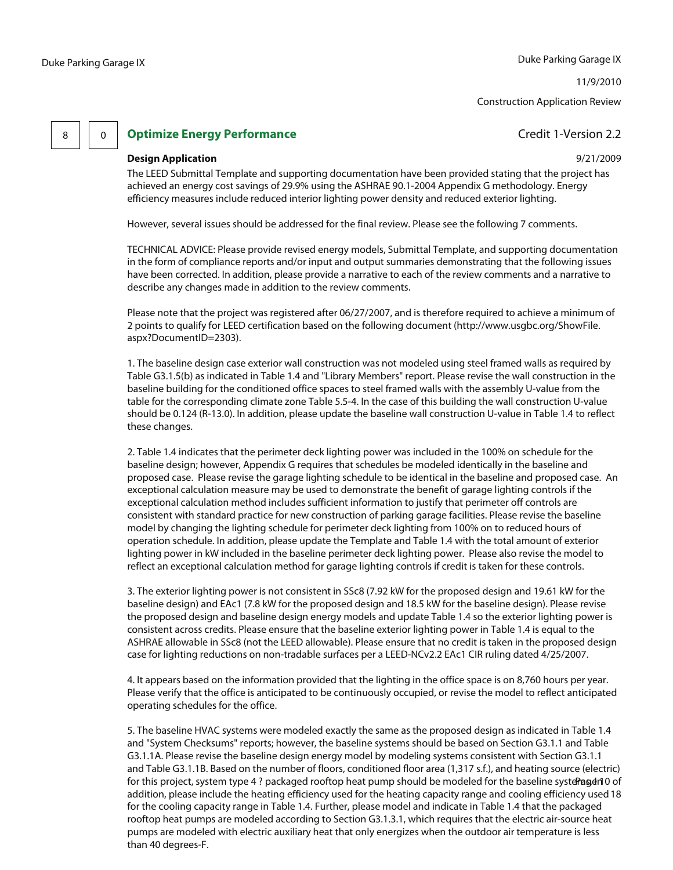11/9/2010

Construction Application Review



# 8 0 **Optimize Energy Performance** Credit 1-Version 2.2

### **Design Application** 9/21/2009

The LEED Submittal Template and supporting documentation have been provided stating that the project has achieved an energy cost savings of 29.9% using the ASHRAE 90.1-2004 Appendix G methodology. Energy efficiency measures include reduced interior lighting power density and reduced exterior lighting.

However, several issues should be addressed for the final review. Please see the following 7 comments.

TECHNICAL ADVICE: Please provide revised energy models, Submittal Template, and supporting documentation in the form of compliance reports and/or input and output summaries demonstrating that the following issues have been corrected. In addition, please provide a narrative to each of the review comments and a narrative to describe any changes made in addition to the review comments.

Please note that the project was registered after 06/27/2007, and is therefore required to achieve a minimum of 2 points to qualify for LEED certification based on the following document (http://www.usgbc.org/ShowFile. aspx?DocumentID=2303).

1. The baseline design case exterior wall construction was not modeled using steel framed walls as required by Table G3.1.5(b) as indicated in Table 1.4 and "Library Members" report. Please revise the wall construction in the baseline building for the conditioned office spaces to steel framed walls with the assembly U-value from the table for the corresponding climate zone Table 5.5-4. In the case of this building the wall construction U-value should be 0.124 (R-13.0). In addition, please update the baseline wall construction U-value in Table 1.4 to reflect these changes.

2. Table 1.4 indicates that the perimeter deck lighting power was included in the 100% on schedule for the baseline design; however, Appendix G requires that schedules be modeled identically in the baseline and proposed case. Please revise the garage lighting schedule to be identical in the baseline and proposed case. An exceptional calculation measure may be used to demonstrate the benefit of garage lighting controls if the exceptional calculation method includes sufficient information to justify that perimeter off controls are consistent with standard practice for new construction of parking garage facilities. Please revise the baseline model by changing the lighting schedule for perimeter deck lighting from 100% on to reduced hours of operation schedule. In addition, please update the Template and Table 1.4 with the total amount of exterior lighting power in kW included in the baseline perimeter deck lighting power. Please also revise the model to reflect an exceptional calculation method for garage lighting controls if credit is taken for these controls.

3. The exterior lighting power is not consistent in SSc8 (7.92 kW for the proposed design and 19.61 kW for the baseline design) and EAc1 (7.8 kW for the proposed design and 18.5 kW for the baseline design). Please revise the proposed design and baseline design energy models and update Table 1.4 so the exterior lighting power is consistent across credits. Please ensure that the baseline exterior lighting power in Table 1.4 is equal to the ASHRAE allowable in SSc8 (not the LEED allowable). Please ensure that no credit is taken in the proposed design case for lighting reductions on non-tradable surfaces per a LEED-NCv2.2 EAc1 CIR ruling dated 4/25/2007.

4. It appears based on the information provided that the lighting in the office space is on 8,760 hours per year. Please verify that the office is anticipated to be continuously occupied, or revise the model to reflect anticipated operating schedules for the office.

for this project, system type 4 ? packaged rooftop heat pump should be modeled for the baseline syste mage of 0 addition, please include the heating efficiency used for the heating capacity range and cooling efficiency used 18 5. The baseline HVAC systems were modeled exactly the same as the proposed design as indicated in Table 1.4 and "System Checksums" reports; however, the baseline systems should be based on Section G3.1.1 and Table G3.1.1A. Please revise the baseline design energy model by modeling systems consistent with Section G3.1.1 and Table G3.1.1B. Based on the number of floors, conditioned floor area (1,317 s.f.), and heating source (electric) for the cooling capacity range in Table 1.4. Further, please model and indicate in Table 1.4 that the packaged rooftop heat pumps are modeled according to Section G3.1.3.1, which requires that the electric air-source heat pumps are modeled with electric auxiliary heat that only energizes when the outdoor air temperature is less than 40 degrees-F.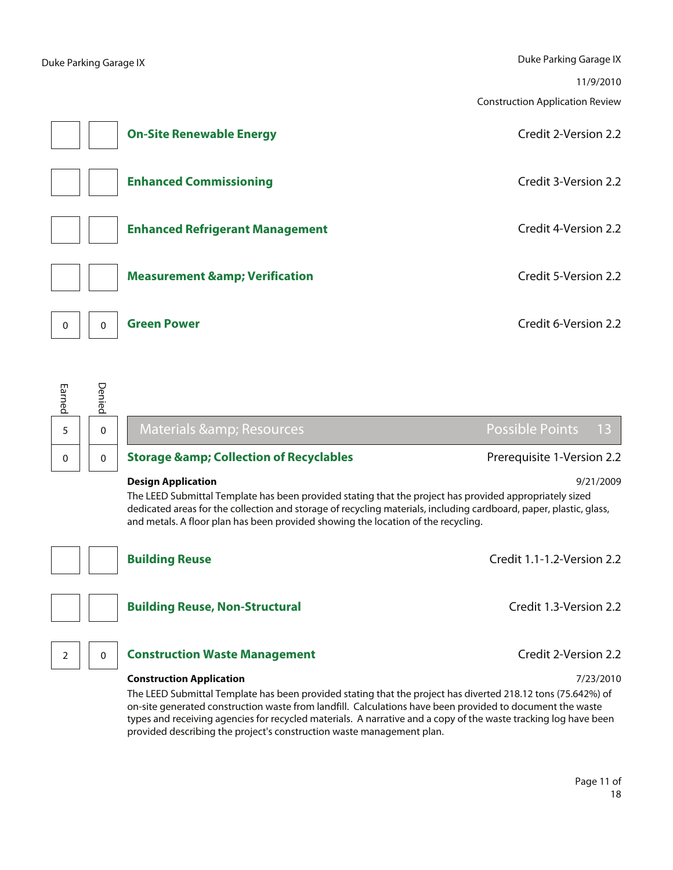11/9/2010 Construction Application Review Duke Parking Garage IX



5 0 Materials & Amp; Resources American Possible Points 13 0 | 0 | **Storage & Collection of Recyclables Collection 2.2 Prerequisite 1-Version 2.2 Design Application** 9/21/2009 The LEED Submittal Template has been provided stating that the project has provided appropriately sized

dedicated areas for the collection and storage of recycling materials, including cardboard, paper, plastic, glass, and metals. A floor plan has been provided showing the location of the recycling.



Earned Denied

**Building Reuse** Credit 1.1-1.2-Version 2.2

**Building Reuse, Non-Structural Credit 1.3-Version 2.2** 

2 | | 0 | **Construction Waste Management** Credit 2-Version 2.2

**Construction Application** 7/23/2010

The LEED Submittal Template has been provided stating that the project has diverted 218.12 tons (75.642%) of on-site generated construction waste from landfill. Calculations have been provided to document the waste types and receiving agencies for recycled materials. A narrative and a copy of the waste tracking log have been provided describing the project's construction waste management plan.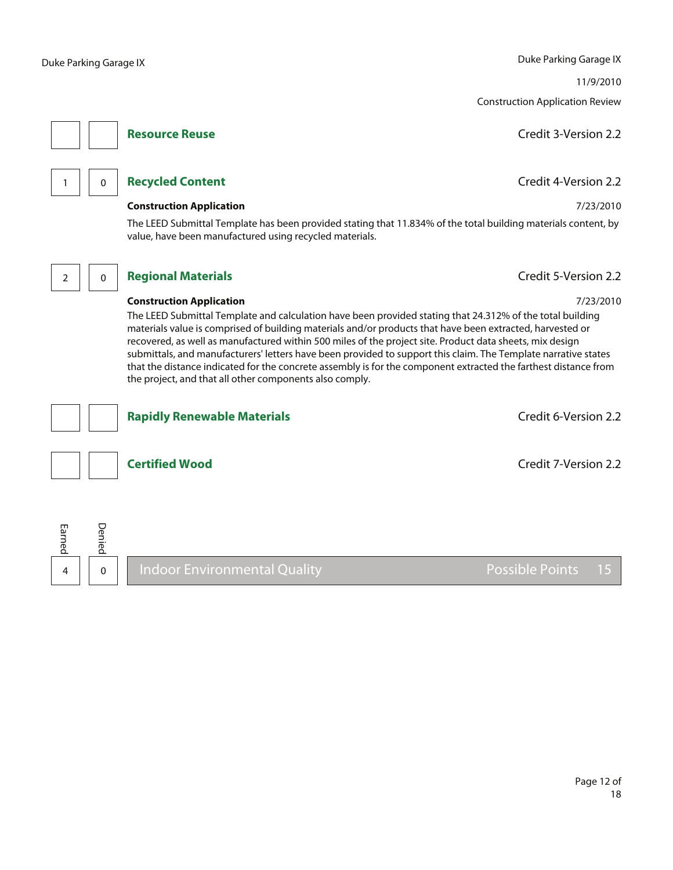Duke Parking Garage IX

11/9/2010

Construction Application Review

**Resource Reuse Credit 3-Version 2.2** 

# 1 **Recycled Content** Credit 4-Version 2.2

# **Construction Application** 7/23/2010

The LEED Submittal Template has been provided stating that 11.834% of the total building materials content, by value, have been manufactured using recycled materials.



# 2 0 **Regional Materials Credit 5-Version 2.2**

# **Construction Application** 7/23/2010

The LEED Submittal Template and calculation have been provided stating that 24.312% of the total building materials value is comprised of building materials and/or products that have been extracted, harvested or recovered, as well as manufactured within 500 miles of the project site. Product data sheets, mix design submittals, and manufacturers' letters have been provided to support this claim. The Template narrative states that the distance indicated for the concrete assembly is for the component extracted the farthest distance from the project, and that all other components also comply.

**Rapidly Renewable Materials Credit 6-Version 2.2** Credit 6-Version 2.2

**Certified Wood** Credit 7-Version 2.2



4 **0 I** Indoor Environmental Quality **Possible Points** 15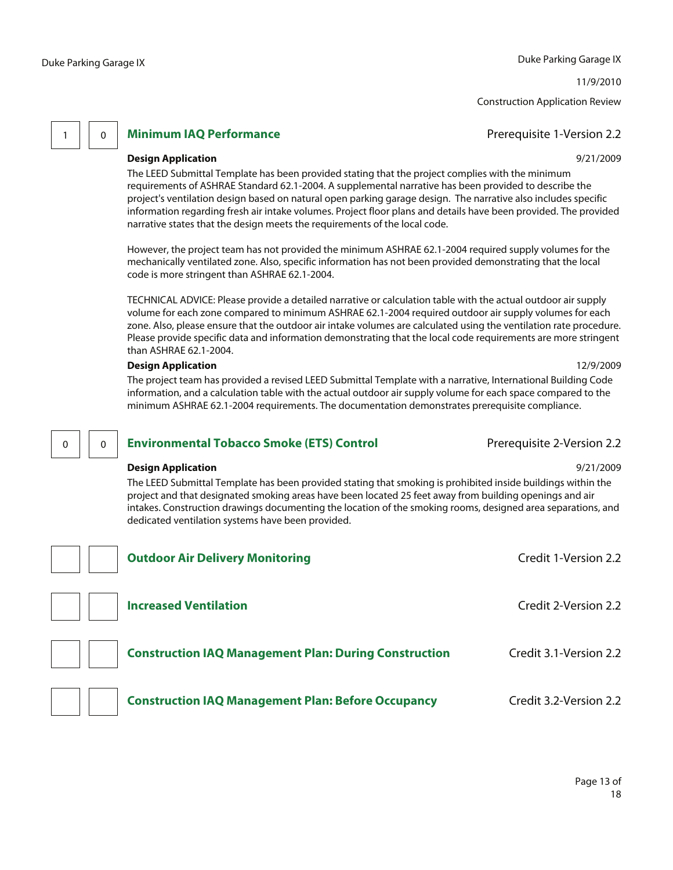11/9/2010

Construction Application Review



# 0 **Minimum IAQ Performance Alternative 1-Version 2.2 Prerequisite 1-Version 2.2**

# **Design Application** 9/21/2009

The LEED Submittal Template has been provided stating that the project complies with the minimum requirements of ASHRAE Standard 62.1-2004. A supplemental narrative has been provided to describe the project's ventilation design based on natural open parking garage design. The narrative also includes specific information regarding fresh air intake volumes. Project floor plans and details have been provided. The provided narrative states that the design meets the requirements of the local code.

However, the project team has not provided the minimum ASHRAE 62.1-2004 required supply volumes for the mechanically ventilated zone. Also, specific information has not been provided demonstrating that the local code is more stringent than ASHRAE 62.1-2004.

TECHNICAL ADVICE: Please provide a detailed narrative or calculation table with the actual outdoor air supply volume for each zone compared to minimum ASHRAE 62.1-2004 required outdoor air supply volumes for each zone. Also, please ensure that the outdoor air intake volumes are calculated using the ventilation rate procedure. Please provide specific data and information demonstrating that the local code requirements are more stringent than ASHRAE 62.1-2004.

#### **Design Application** 12/9/2009

The project team has provided a revised LEED Submittal Template with a narrative, International Building Code information, and a calculation table with the actual outdoor air supply volume for each space compared to the minimum ASHRAE 62.1-2004 requirements. The documentation demonstrates prerequisite compliance.

| n | $\mathbf{0}$ | <b>Environmental Tobacco Smoke (ETS) Control</b>                                                                                                                                                                                                                                                                                                                                                                          | Prerequisite 2-Version 2.2 |
|---|--------------|---------------------------------------------------------------------------------------------------------------------------------------------------------------------------------------------------------------------------------------------------------------------------------------------------------------------------------------------------------------------------------------------------------------------------|----------------------------|
|   |              | <b>Design Application</b><br>The LEED Submittal Template has been provided stating that smoking is prohibited inside buildings within the<br>project and that designated smoking areas have been located 25 feet away from building openings and air<br>intakes. Construction drawings documenting the location of the smoking rooms, designed area separations, and<br>dedicated ventilation systems have been provided. | 9/21/2009                  |
|   |              | <b>Outdoor Air Delivery Monitoring</b>                                                                                                                                                                                                                                                                                                                                                                                    | Credit 1-Version 2.2       |
|   |              | <b>Increased Ventilation</b>                                                                                                                                                                                                                                                                                                                                                                                              | Credit 2-Version 2.2       |
|   |              | <b>Construction IAQ Management Plan: During Construction</b>                                                                                                                                                                                                                                                                                                                                                              | Credit 3.1-Version 2.2     |



**Construction IAQ Management Plan: Before Occupancy Credit 3.2-Version 2.2**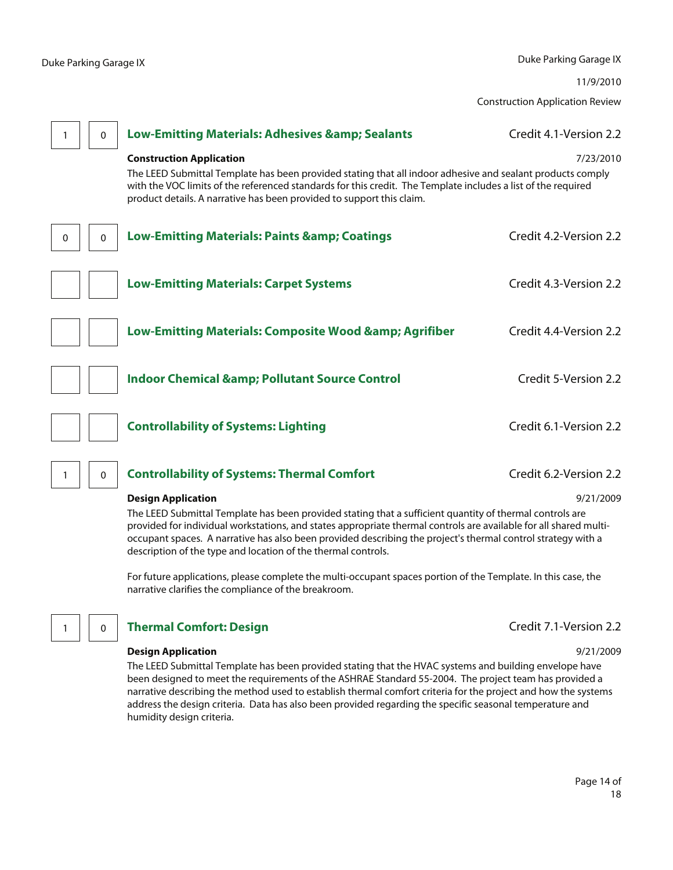| Duke Parking Garage IX                                                                                                                                                                                                                                                                                                                  | Duke Parking Garage IX                 |
|-----------------------------------------------------------------------------------------------------------------------------------------------------------------------------------------------------------------------------------------------------------------------------------------------------------------------------------------|----------------------------------------|
|                                                                                                                                                                                                                                                                                                                                         | 11/9/2010                              |
|                                                                                                                                                                                                                                                                                                                                         | <b>Construction Application Review</b> |
| <b>Low-Emitting Materials: Adhesives &amp; Sealants</b><br>0<br>1                                                                                                                                                                                                                                                                       | Credit 4.1-Version 2.2                 |
| <b>Construction Application</b><br>The LEED Submittal Template has been provided stating that all indoor adhesive and sealant products comply<br>with the VOC limits of the referenced standards for this credit. The Template includes a list of the required<br>product details. A narrative has been provided to support this claim. | 7/23/2010                              |
| <b>Low-Emitting Materials: Paints &amp; Coatings</b><br>0<br>0                                                                                                                                                                                                                                                                          | Credit 4.2-Version 2.2                 |
| <b>Low-Emitting Materials: Carpet Systems</b>                                                                                                                                                                                                                                                                                           | Credit 4.3-Version 2.2                 |
| <b>Low-Emitting Materials: Composite Wood &amp; Agrifiber</b>                                                                                                                                                                                                                                                                           | Credit 4.4-Version 2.2                 |
| <b>Indoor Chemical &amp; Pollutant Source Control</b>                                                                                                                                                                                                                                                                                   | Credit 5-Version 2.2                   |
| <b>Controllability of Systems: Lighting</b>                                                                                                                                                                                                                                                                                             | Credit 6.1-Version 2.2                 |
| <b>Controllability of Systems: Thermal Comfort</b><br>0<br>1                                                                                                                                                                                                                                                                            | Credit 6.2-Version 2.2                 |
| <b>Design Application</b><br>The LEED Submittal Template has been provided stating that a sufficient quantity of thermal controls are                                                                                                                                                                                                   | 9/21/2009                              |

LEED Submittal Template has been provided stating that a sufficient quantity of thermal controls are provided for individual workstations, and states appropriate thermal controls are available for all shared multioccupant spaces. A narrative has also been provided describing the project's thermal control strategy with a description of the type and location of the thermal controls.

For future applications, please complete the multi-occupant spaces portion of the Template. In this case, the narrative clarifies the compliance of the breakroom.

# 1 | 0 | **Thermal Comfort: Design** Credit 7.1-Version 2.2

# **Design Application** 9/21/2009

The LEED Submittal Template has been provided stating that the HVAC systems and building envelope have been designed to meet the requirements of the ASHRAE Standard 55-2004. The project team has provided a narrative describing the method used to establish thermal comfort criteria for the project and how the systems address the design criteria. Data has also been provided regarding the specific seasonal temperature and humidity design criteria.

> Page 14 of 18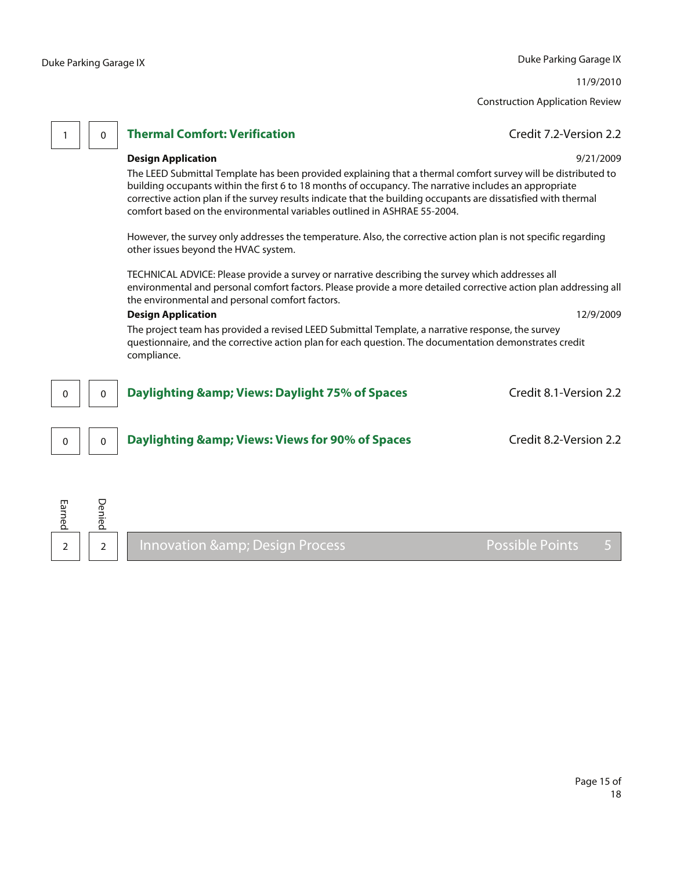11/9/2010

Construction Application Review



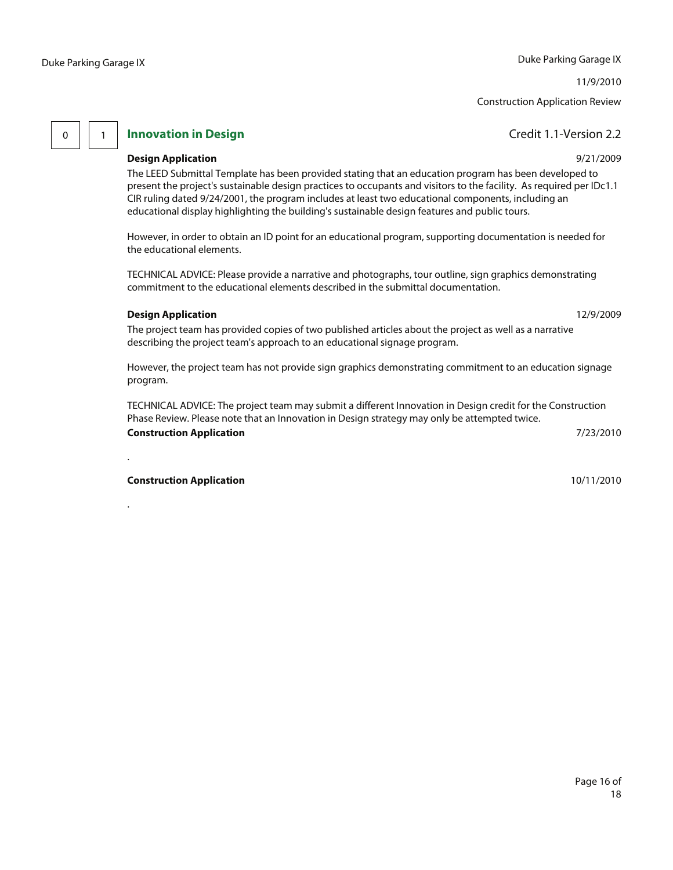11/9/2010

Construction Application Review

# 0 1 **Innovation in Design** Credit 1.1-Version 2.2

### **Design Application** 9/21/2009

The LEED Submittal Template has been provided stating that an education program has been developed to present the project's sustainable design practices to occupants and visitors to the facility. As required per IDc1.1 CIR ruling dated 9/24/2001, the program includes at least two educational components, including an educational display highlighting the building's sustainable design features and public tours.

However, in order to obtain an ID point for an educational program, supporting documentation is needed for the educational elements.

TECHNICAL ADVICE: Please provide a narrative and photographs, tour outline, sign graphics demonstrating commitment to the educational elements described in the submittal documentation.

### **Design Application** 12/9/2009

The project team has provided copies of two published articles about the project as well as a narrative describing the project team's approach to an educational signage program.

However, the project team has not provide sign graphics demonstrating commitment to an education signage program.

TECHNICAL ADVICE: The project team may submit a different Innovation in Design credit for the Construction Phase Review. Please note that an Innovation in Design strategy may only be attempted twice.

**Construction Application** 7/23/2010

**Construction Application** 10/11/2010

.

.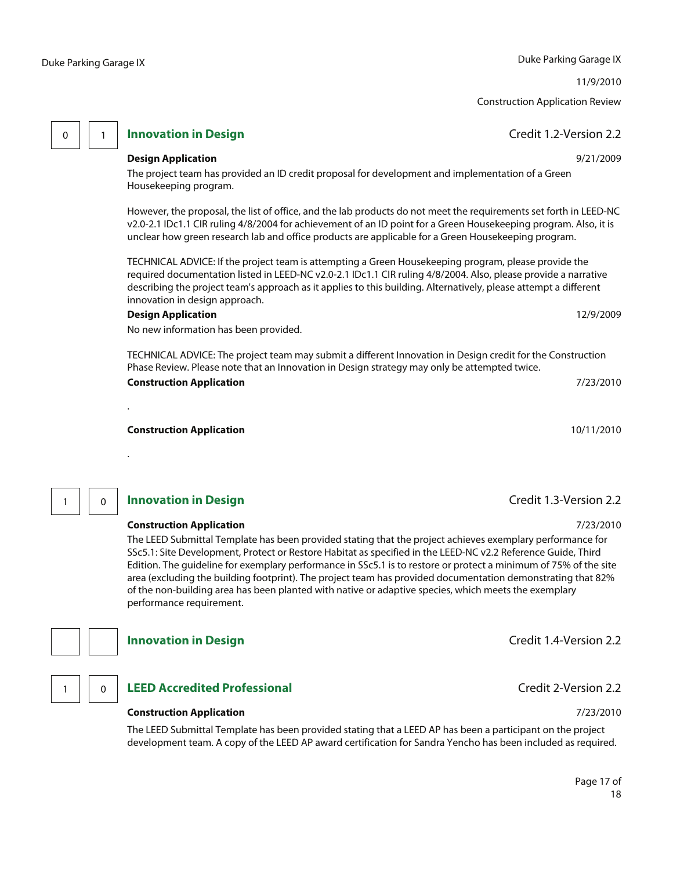11/9/2010

Construction Application Review



# 0 1 **Innovation in Design** Credit 1.2-Version 2.2

#### **Design Application** 9/21/2009

The project team has provided an ID credit proposal for development and implementation of a Green Housekeeping program.

However, the proposal, the list of office, and the lab products do not meet the requirements set forth in LEED-NC v2.0-2.1 IDc1.1 CIR ruling 4/8/2004 for achievement of an ID point for a Green Housekeeping program. Also, it is unclear how green research lab and office products are applicable for a Green Housekeeping program.

TECHNICAL ADVICE: If the project team is attempting a Green Housekeeping program, please provide the required documentation listed in LEED-NC v2.0-2.1 IDc1.1 CIR ruling 4/8/2004. Also, please provide a narrative describing the project team's approach as it applies to this building. Alternatively, please attempt a different innovation in design approach.

#### **Design Application** 12/9/2009

No new information has been provided.

TECHNICAL ADVICE: The project team may submit a different Innovation in Design credit for the Construction Phase Review. Please note that an Innovation in Design strategy may only be attempted twice.

**Construction Application** 7/23/2010

.

.

**Construction Application** 10/11/2010

# 0 **Innovation in Design Credit 1.3-Version 2.2**

## **Construction Application** 7/23/2010

The LEED Submittal Template has been provided stating that the project achieves exemplary performance for SSc5.1: Site Development, Protect or Restore Habitat as specified in the LEED-NC v2.2 Reference Guide, Third Edition. The guideline for exemplary performance in SSc5.1 is to restore or protect a minimum of 75% of the site area (excluding the building footprint). The project team has provided documentation demonstrating that 82% of the non-building area has been planted with native or adaptive species, which meets the exemplary performance requirement.

**Innovation in Design Credit 1.4-Version 2.2** 

1 0 **LEED Accredited Professional** Credit 2-Version 2.2

# **Construction Application** 7/23/2010

The LEED Submittal Template has been provided stating that a LEED AP has been a participant on the project development team. A copy of the LEED AP award certification for Sandra Yencho has been included as required.

> Page 17 of 18